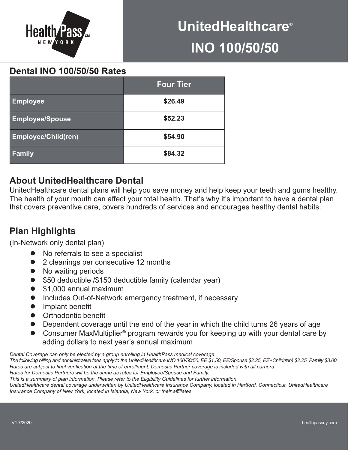

# **UnitedHealthcare**® **INO 100/50/50**

**Dental INO 100/50/50 Rates**

|                            | <b>Four Tier</b> |  |  |
|----------------------------|------------------|--|--|
| <b>Employee</b>            | \$26.49          |  |  |
| <b>Employee/Spouse</b>     | \$52.23          |  |  |
| <b>Employee/Child(ren)</b> | \$54.90          |  |  |
| <b>Family</b>              | \$84.32          |  |  |

## **About UnitedHealthcare Dental**

UnitedHealthcare dental plans will help you save money and help keep your teeth and gums healthy. The health of your mouth can affect your total health. That's why it's important to have a dental plan that covers preventive care, covers hundreds of services and encourages healthy dental habits.

## **Plan Highlights**

(In-Network only dental plan)

- No referrals to see a specialist
- 2 cleanings per consecutive 12 months
- **No waiting periods**
- \$50 deductible /\$150 deductible family (calendar year)
- $\bullet$  \$1,000 annual maximum
- Includes Out-of-Network emergency treatment, if necessary
- $\bullet$  Implant benefit
- **•** Orthodontic benefit
- Dependent coverage until the end of the year in which the child turns 26 years of age
- Consumer MaxMultiplier<sup>®</sup> program rewards you for keeping up with your dental care by adding dollars to next year's annual maximum

*Dental Coverage can only be elected by a group enrolling in HealthPass medical coverage.*

*The following billing and administrative fees apply to the UnitedHealthcare INO 100/50/50: EE \$1.50, EE/Spouse \$2.25, EE+Child(ren) \$2.25, Family \$3.00 Rates are subject to final verification at the time of enrollment. Domestic Partner coverage is included with all carriers. Rates for Domestic Partners will be the same as rates for Employee/Spouse and Family.* 

*This is a summary of plan information. Please refer to the Eligibility Guidelines for further information.* 

*UnitedHealthcare dental coverage underwritten by UnitedHealthcare Insurance Company, located in Hartford, Connecticut, UnitedHealthcare Insurance Company of New York, located in Islandia, New York, or their affiliates*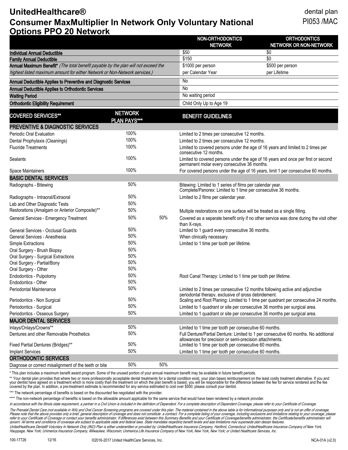#### **UnitedHealthcare®** dental plan **Consumer MaxMultiplier In Network Only Voluntary National** PI053 /MAC **Options PPO 20 Network**

| OPUOIIS FF O ZU NGLWOI N                                                           |                                       |      | NON-ORTHODONTICS<br><b>NETWORK</b>                                                                                                   | <b>ORTHODONTICS</b><br>NETWORK OR NON-NETWORK                                          |  |
|------------------------------------------------------------------------------------|---------------------------------------|------|--------------------------------------------------------------------------------------------------------------------------------------|----------------------------------------------------------------------------------------|--|
| <b>Individual Annual Deductible</b>                                                |                                       | \$50 | \$0                                                                                                                                  |                                                                                        |  |
| <b>Family Annual Deductible</b>                                                    |                                       |      | \$150                                                                                                                                | $\overline{30}$                                                                        |  |
| Annual Maximum Benefit* (The total benefit payable by the plan will not exceed the |                                       |      | \$1000 per person                                                                                                                    | \$500 per person                                                                       |  |
| highest listed maximum amount for either Network or Non-Network services.)         |                                       |      | per Calendar Year                                                                                                                    | per Lifetime                                                                           |  |
| Annual Deductible Applies to Preventive and Diagnostic Services                    |                                       | No   |                                                                                                                                      |                                                                                        |  |
| Annual Deductible Applies to Orthodontic Services                                  |                                       | No   |                                                                                                                                      |                                                                                        |  |
| <b>Waiting Period</b>                                                              |                                       |      | No waiting period                                                                                                                    |                                                                                        |  |
| <b>Orthodontic Eligibility Requirement</b>                                         |                                       |      | Child Only Up to Age 19                                                                                                              |                                                                                        |  |
| <b>COVERED SERVICES**</b>                                                          | <b>NETWORK</b><br><b>PLAN PAYS***</b> |      | <b>BENEFIT GUIDELINES</b>                                                                                                            |                                                                                        |  |
| <b>PREVENTIVE &amp; DIAGNOSTIC SERVICES</b>                                        |                                       |      |                                                                                                                                      |                                                                                        |  |
| <b>Periodic Oral Evaluation</b>                                                    | 100%                                  |      | Limited to 2 times per consecutive 12 months.                                                                                        |                                                                                        |  |
| Dental Prophylaxis (Cleanings)                                                     | 100%                                  |      | Limited to 2 times per consecutive 12 months.                                                                                        |                                                                                        |  |
| <b>Fluoride Treatments</b>                                                         | 100%                                  |      | Limited to covered persons under the age of 16 years and limited to 2 times per<br>consecutive 12 months.                            |                                                                                        |  |
| Sealants                                                                           | 100%                                  |      | Limited to covered persons under the age of 16 years and once per first or second<br>permanent molar every consecutive 36 months.    |                                                                                        |  |
| Space Maintainers                                                                  | 100%                                  |      | For covered persons under the age of 16 years, limit 1 per consecutive 60 months.                                                    |                                                                                        |  |
| <b>BASIC DENTAL SERVICES</b>                                                       |                                       |      |                                                                                                                                      |                                                                                        |  |
| Radiographs - Bitewing                                                             | 50%                                   |      | Bitewing: Limited to 1 series of films per calendar year.<br>Complete/Panorex: Limited to 1 time per consecutive 36 months.          |                                                                                        |  |
| Radiographs - Intraoral/Extraoral                                                  | 50%                                   |      | Limited to 2 films per calendar year.                                                                                                |                                                                                        |  |
| Lab and Other Diagnostic Tests                                                     | 50%                                   |      |                                                                                                                                      |                                                                                        |  |
| Restorations (Amalgam or Anterior Composite)**                                     | 50%                                   |      | Multiple restorations on one surface will be treated as a single filling.                                                            |                                                                                        |  |
| General Services - Emergency Treatment                                             | 50%                                   | 50%  | than X-rays.                                                                                                                         | Covered as a separate benefit only if no other service was done during the visit other |  |
| General Services - Occlusal Guards                                                 | 50%                                   |      | Limited to 1 guard every consecutive 36 months.                                                                                      |                                                                                        |  |
| General Services - Anesthesia                                                      | 50%                                   |      | When clinically necessary.                                                                                                           |                                                                                        |  |
| Simple Extractions                                                                 | 50%                                   |      | Limited to 1 time per tooth per lifetime.                                                                                            |                                                                                        |  |
| Oral Surgery - Brush Biopsy                                                        | 50%                                   |      |                                                                                                                                      |                                                                                        |  |
| Oral Surgery - Surgical Extractions                                                | 50%                                   |      |                                                                                                                                      |                                                                                        |  |
| Oral Surgery - Partial/Bony                                                        | 50%                                   |      |                                                                                                                                      |                                                                                        |  |
| Oral Surgery - Other                                                               | 50%                                   |      |                                                                                                                                      |                                                                                        |  |
| Endodontics - Pulpotomy                                                            | 50%                                   |      | Root Canal Therapy: Limited to 1 time per tooth per lifetime.                                                                        |                                                                                        |  |
| Endodontics - Other                                                                | 50%                                   |      |                                                                                                                                      |                                                                                        |  |
| <b>Periodontal Maintenance</b>                                                     | 50%                                   |      | Limited to 2 times per consecutive 12 months following active and adjunctive<br>periodontal therapy, exclusive of gross debridement. |                                                                                        |  |
| Periodontics - Non Surgical                                                        | 50%                                   |      |                                                                                                                                      | Scaling and Root Planing: Limited to 1 time per quadrant per consecutive 24 months.    |  |
| Periodontics - Surgical                                                            | 50%                                   |      | Limited to 1 quadrant or site per consecutive 36 months per surgical area.                                                           |                                                                                        |  |
| Periodontics - Osseous Surgery                                                     | 50%                                   |      | Limited to 1 quadrant or site per consecutive 36 months per surgical area.                                                           |                                                                                        |  |
| <b>MAJOR DENTAL SERVICES</b>                                                       |                                       |      |                                                                                                                                      |                                                                                        |  |
| Inlays/Onlays/Crowns**                                                             | 50%                                   |      | Limited to 1 time per tooth per consecutive 60 months.                                                                               |                                                                                        |  |
| Dentures and other Removable Prosthetics                                           | 50%                                   |      | allowances for precision or semi-precision attachments.                                                                              | Full Denture/Partial Denture: Limited to 1 per consecutive 60 months. No additional    |  |
| Fixed Partial Dentures (Bridges)**                                                 | 50%                                   |      | Limited to 1 time per tooth per consecutive 60 months.                                                                               |                                                                                        |  |
| <b>Implant Services</b>                                                            | 50%                                   |      | Limited to 1 time per tooth per consecutive 60 months.                                                                               |                                                                                        |  |
| <b>ORTHODONTIC SERVICES</b>                                                        |                                       |      |                                                                                                                                      |                                                                                        |  |
| Diagnose or correct misalignment of the teeth or bite                              | 50%                                   | 50%  |                                                                                                                                      |                                                                                        |  |

\* This plan includes a maximum benefit award program. Some of the unused portion of your annual maximum benefit may be available in future benefit periods.

\*\* Your dental plan provides that where two or more professionally acceptable dental treatments for a dental condition exist, your plan bases reimbursement on the least costly treatment alternative. If you and your dentist have agreed on a treatment which is more costly than the treatment on which the plan benefit is based, you will be responsible for the difference between the fee for service rendered and the fee covered by the plan. In addition, a pre-treatment estimate is recommended for any service estimated to cost over \$500; please consult your dentist.

\*\*\* The network percentage of benefits is based on the discounted fee negotiated with the provider.

\*\*\*\* The non-network percentage of benefits is based on the allowable amount applicable for the same service that would have been rendered by a network provider.

In accordance with the Illinois state requirement, a partner in a Civil Union is included in the definition of Dependent. For a complete description of Dependent Coverage, please refer to your Certificate of Coverage.

The Prenatal Dental Care (not available in WA) and Oral Cancer Screening programs are covered under this plan. The material contained in the above table is for informational purposes only and is not an offer of coverage, p govern. All terms and conditions of coverage are subiect to applicable state and federal laws. State mandates regarding benefit levels and age limitations may supersede plan design features. UnitedHealthcare Dental® Voluntary In Network Only (INO) Plan is either underwritten or provided by: UnitedHealthcare Insurance Company, Hartford, Connecticut; UnitedHealthcare Insurance Company of New York, Hauppage, New York; Unimerica Insurance Company, Milwaukee, Wisconsin; Unimerica Life Insurance Company of New York, New York, New York; or United Healthcare Services, Inc.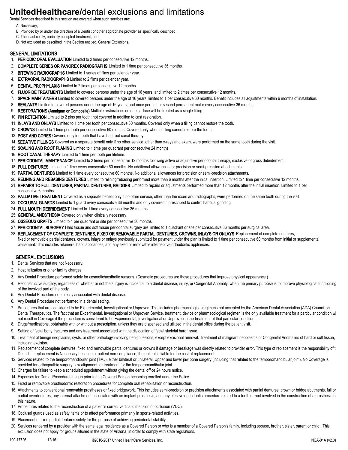### **UnitedHealthcare/**dental exclusions and limitations

Dental Services described in this section are covered when such services are:

- A. Necessary;
- B. Provided by or under the direction of a Dentist or other appropriate provider as specifically described;
- C. The least costly, clinically accepted treatment; and
- D. Not excluded as described in the Section entitled, General Exclusions.

#### GENERAL LIMITATIONS

- 1. PERIODIC ORAL EVALUATION Limited to 2 times per consecutive 12 months.
- 2. **COMPLETE SERIES OR PANOREX RADIOGRAPHS** Limited to 1 time per consecutive 36 months.
- 3. BITEWING RADIOGRAPHS Limited to 1 series of films per calendar year.
- 4. EXTRAORAL RADIOGRAPHS Limited to 2 films per calendar year.
- 5. DENTAL PROPHYLAXIS Limited to 2 times per consecutive 12 months.
- 6. FLUORIDE TREATMENTS Limited to covered persons under the age of 16 years, and limited to 2 times per consecutive 12 months.
- 7. SPACE MAINTAINERS Limited to covered persons under the age of 16 years, limited to 1 per consecutive 60 months. Benefit includes all adjustments within 6 months of installation.
- 8. SEALANTS Limited to covered persons under the age of 16 years, and once per first or second permanent molar every consecutive 36 months.
- 9. RESTORATIONS (Amalgam or Composite) Multiple restorations on one surface will be treated as a single filling.
- 10. PIN RETENTION Limited to 2 pins per tooth; not covered in addition to cast restoration.
- 11. INLAYS AND ONLAYS Limited to 1 time per tooth per consecutive 60 months. Covered only when a filling cannot restore the tooth.
- 12. CROWNS Limited to 1 time per tooth per consecutive 60 months. Covered only when a filling cannot restore the tooth.
- 13. POST AND CORES Covered only for teeth that have had root canal therapy.
- 14. SEDATIVE FILLINGS Covered as a separate benefit only if no other service, other than x-rays and exam, were performed on the same tooth during the visit.
- 15. SCALING AND ROOT PLANING Limited to 1 time per quadrant per consecutive 24 months.
- 16. ROOT CANAL THERAPY Limited to 1 time per tooth per lifetime.
- 17. PERIODONTAL MAINTENANCE Limited to 2 times per consecutive 12 months following active or adjunctive periodontal therapy, exclusive of gross debridement.
- 18. FULL DENTURES Limited to 1 time every consecutive 60 months. No additional allowances for precision or semi-precision attachments.
- 19. PARTIAL DENTURES Limited to 1 time every consecutive 60 months. No additional allowances for precision or semi-precision attachments.
- 20. RELINING AND REBASING DENTURES Limited to relining/rebasing performed more than 6 months after the initial insertion. Limited to 1 time per consecutive 12 months.
- 21. REPAIRS TO FULL DENTURES, PARTIAL DENTURES, BRIDGES Limited to repairs or adjustments performed more than 12 months after the initial insertion. Limited to 1 per consecutive 6 months.
- 22. PALLIATIVE TREATMENT Covered as a separate benefit only if no other service, other than the exam and radiographs, were performed on the same tooth during the visit.
- 23. OCCLUSAL GUARDS Limited to 1 quard every consecutive 36 months and only covered if prescribed to control habitual grinding.
- 24. FULL MOUTH DEBRIDEMENT Limited to 1 time every consecutive 36 months.
- 25. GENERAL ANESTHESIA Covered only when clinically necessary.
- 26. OSSEOUS GRAFTS Limited to 1 per quadrant or site per consecutive 36 months.
- 27. PERIODONTAL SURGERY Hard tissue and soft tissue periodontal surgery are limited to 1 quadrant or site per consecutive 36 months per surgical area.
- 28. REPLACEMENT OF COMPLETE DENTURES, FIXED OR REMOVABLE PARTIAL DENTURES, CROWNS, INLAYS OR ONLAYS Replacement of complete dentures, fixed or removable partial dentures, crowns, inlays or onlays previously submitted for payment under the plan is limited to 1 time per consecutive 60 months from initial or supplemental
- placement. This includes retainers, habit appliances, and any fixed or removable interceptive orthodontic appliances.

#### GENERAL EXCLUSIONS

- 1. Dental Services that are not Necessary.
- 2. Hospitalization or other facility charges.
- 3. Any Dental Procedure performed solely for cosmetic/aesthetic reasons. (Cosmetic procedures are those procedures that improve physical appearance.)
- 4. Reconstructive surgery, regardless of whether or not the surgery is incidental to a dental disease, injury, or Congenital Anomaly, when the primary purpose is to improve physiological functioning of the involved part of the body.
- 5. Any Dental Procedure not directly associated with dental disease.
- 6. Any Dental Procedure not performed in a dental setting.
- 7. Procedures that are considered to be Experimental, Investigational or Unproven. This includes pharmacological regimens not accepted by the American Dental Association (ADA) Council on Dental Therapeutics. The fact that an Experimental, Investigational or Unproven Service, treatment, device or pharmacological regimen is the only available treatment for a particular condition wi not result in Coverage if the procedure is considered to be Experimental, Investigational or Unproven in the treatment of that particular condition.
- 8. Drugs/medications, obtainable with or without a prescription, unless they are dispensed and utilized in the dental office during the patient visit.
- 9. Setting of facial bony fractures and any treatment associated with the dislocation of facial skeletal hard tissue.
- 10. Treatment of benign neoplasms, cysts, or other pathology involving benign lesions, except excisional removal. Treatment of malignant neoplasms or Congenital Anomalies of hard or soft tissue, including excision.
- 11. Replacement of complete dentures, fixed and removable partial dentures or crowns if damage or breakage was directly related to provider error. This type of replacement is the responsibility of t Dentist. If replacement is Necessary because of patient non-compliance, the patient is liable for the cost of replacement.
- 12. Services related to the temporomandibular joint (TMJ), either bilateral or unilateral. Upper and lower jaw bone surgery (including that related to the temporomandibular joint). No Coverage is provided for orthognathic surgery, jaw alignment, or treatment for the temporomandibular joint.
- 13. Charges for failure to keep a scheduled appointment without giving the dental office 24 hours notice.
- 14. Expenses for Dental Procedures begun prior to the Covered Person becoming enrolled under the Policy.
- 15. Fixed or removable prosthodontic restoration procedures for complete oral rehabilitation or reconstruction.
- 16. Attachments to conventional removable prostheses or fixed bridgework. This includes semi-precision or precision attachments associated with partial dentures, crown or bridge abutments, full or partial overdentures, any internal attachment associated with an implant prosthesis, and any elective endodontic procedure related to a tooth or root involved in the construction of a prosthesis o this nature.
- 17. Procedures related to the reconstruction of a patient's correct vertical dimension of occlusion (VDO).
- 18. Occlusal guards used as safety items or to affect performance primarily in sports-related activities.
- 19. Placement of fixed partial dentures solely for the purpose of achieving periodontal stability.
- 20. Services rendered by a provider with the same legal residence as a Covered Person or who is a member of a Covered Person's family, including spouse, brother, sister, parent or child. This exclusion does not apply for groups sitused in the state of Arizona, in order to comply with state regulations.